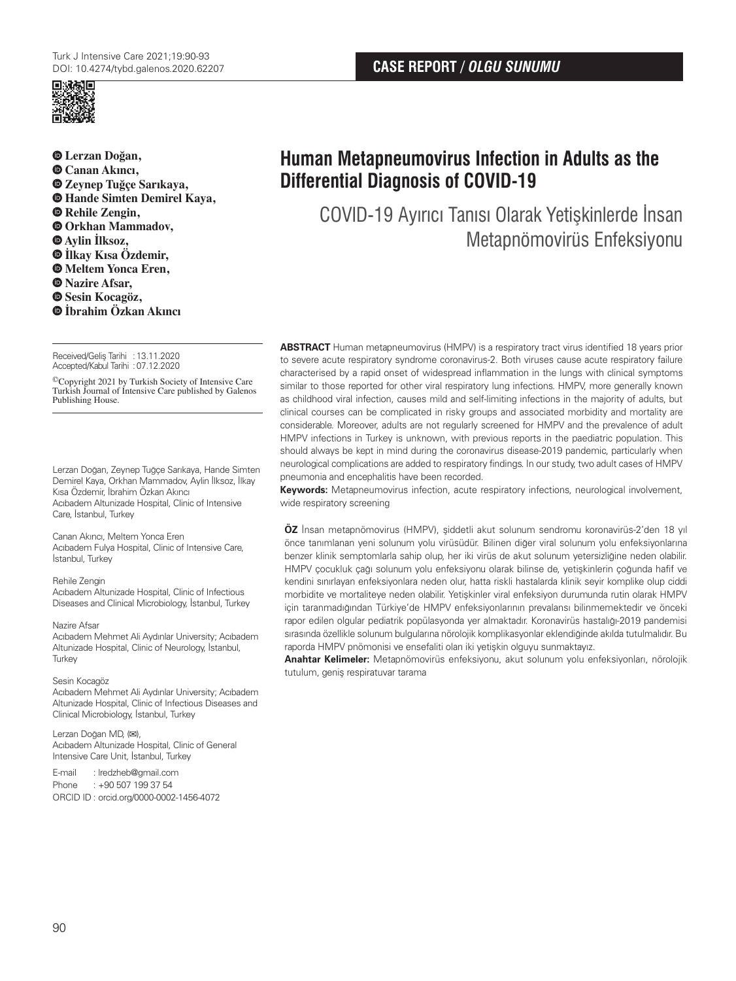



 **Lerzan Doğan, Canan Akıncı, Zeynep Tuğçe Sarıkaya, Hande Simten Demirel Kaya, Rehile Zengin, Orkhan Mammadov, Aylin İlksoz, İlkay Kısa Özdemir, Meltem Yonca Eren, Nazire Afsar, Sesin Kocagöz, İbrahim Özkan Akıncı**

Received/Geliş Tarihi : 13.11.2020 Accepted/Kabul Tarihi :07.12.2020

©Copyright 2021 by Turkish Society of Intensive Care Turkish Journal of Intensive Care published by Galenos Publishing House.

Lerzan Doğan, Zeynep Tuğçe Sarıkaya, Hande Simten Demirel Kaya, Orkhan Mammadov, Aylin İlksoz, İlkay Kısa Özdemir, İbrahim Özkan Akıncı Acıbadem Altunizade Hospital, Clinic of Intensive Care, İstanbul, Turkey

### Canan Akıncı, Meltem Yonca Eren

Acıbadem Fulya Hospital, Clinic of Intensive Care, İstanbul, Turkey

### Rehile Zengin

Acıbadem Altunizade Hospital, Clinic of Infectious Diseases and Clinical Microbiology, İstanbul, Turkey

#### Nazire Afsar

Acıbadem Mehmet Ali Aydınlar University; Acıbadem Altunizade Hospital, Clinic of Neurology, İstanbul, **Turkey** 

### Sesin Kocagöz

Acıbadem Mehmet Ali Aydınlar University; Acıbadem Altunizade Hospital, Clinic of Infectious Diseases and Clinical Microbiology, İstanbul, Turkey

### Lerzan Doğan MD, (**✉**),

Acıbadem Altunizade Hospital, Clinic of General Intensive Care Unit, İstanbul, Turkey

# E-mail : lredzheb@gmail.com

Phone : +90 507 199 37 54 ORCID ID : orcid.org/0000-0002-1456-4072

# **Human Metapneumovirus Infection in Adults as the Differential Diagnosis of COVID-19**

COVID-19 Ayırıcı Tanısı Olarak Yetişkinlerde İnsan Metapnömovirüs Enfeksiyonu

**ABSTRACT** Human metapneumovirus (HMPV) is a respiratory tract virus identified 18 years prior to severe acute respiratory syndrome coronavirus-2. Both viruses cause acute respiratory failure characterised by a rapid onset of widespread inflammation in the lungs with clinical symptoms similar to those reported for other viral respiratory lung infections. HMPV, more generally known as childhood viral infection, causes mild and self-limiting infections in the majority of adults, but clinical courses can be complicated in risky groups and associated morbidity and mortality are considerable. Moreover, adults are not regularly screened for HMPV and the prevalence of adult HMPV infections in Turkey is unknown, with previous reports in the paediatric population. This should always be kept in mind during the coronavirus disease-2019 pandemic, particularly when neurological complications are added to respiratory findings. In our study, two adult cases of HMPV pneumonia and encephalitis have been recorded.

**Keywords:** Metapneumovirus infection, acute respiratory infections, neurological involvement, wide respiratory screening

**ÖZ** İnsan metapnömovirus (HMPV), şiddetli akut solunum sendromu koronavirüs-2'den 18 yıl önce tanımlanan yeni solunum yolu virüsüdür. Bilinen diğer viral solunum yolu enfeksiyonlarına benzer klinik semptomlarla sahip olup, her iki virüs de akut solunum yetersizliğine neden olabilir. HMPV çocukluk çağı solunum yolu enfeksiyonu olarak bilinse de, yetişkinlerin çoğunda hafif ve kendini sınırlayan enfeksiyonlara neden olur, hatta riskli hastalarda klinik seyir komplike olup ciddi morbidite ve mortaliteye neden olabilir. Yetişkinler viral enfeksiyon durumunda rutin olarak HMPV için taranmadığından Türkiye'de HMPV enfeksiyonlarının prevalansı bilinmemektedir ve önceki rapor edilen olgular pediatrik popülasyonda yer almaktadır. Koronavirüs hastalığı-2019 pandemisi sırasında özellikle solunum bulgularına nörolojik komplikasyonlar eklendiğinde akılda tutulmalıdır. Bu raporda HMPV pnömonisi ve ensefaliti olan iki yetişkin olguyu sunmaktayız.

**Anahtar Kelimeler:** Metapnömovirüs enfeksiyonu, akut solunum yolu enfeksiyonları, nörolojik tutulum, geniş respiratuvar tarama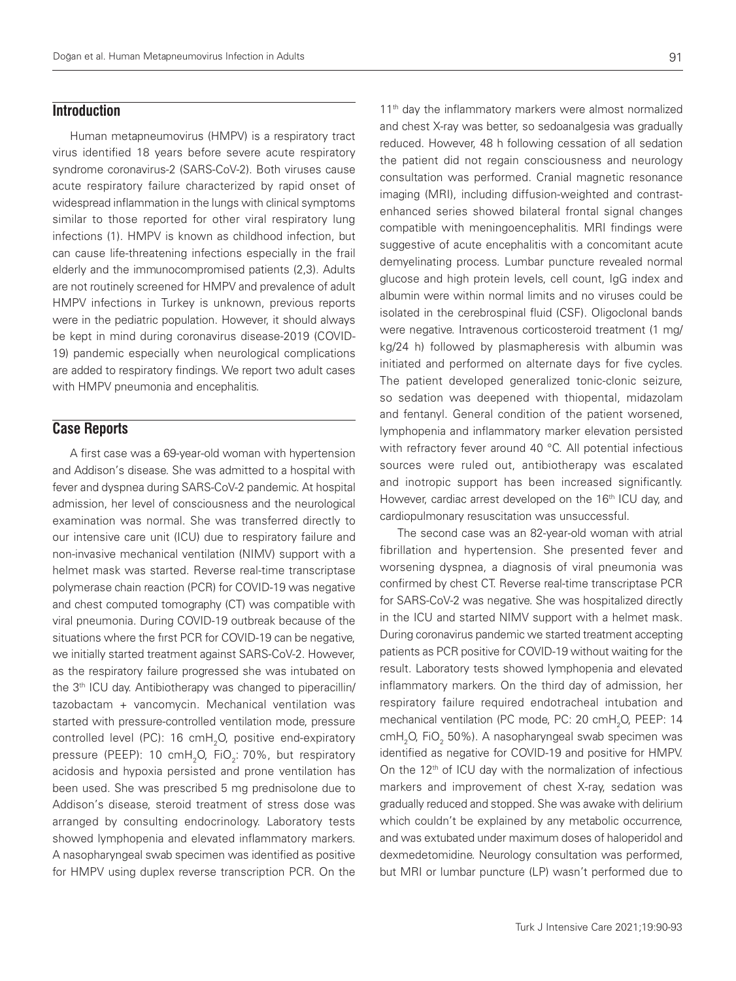# **Introduction**

Human metapneumovirus (HMPV) is a respiratory tract virus identified 18 years before severe acute respiratory syndrome coronavirus-2 (SARS-CoV-2). Both viruses cause acute respiratory failure characterized by rapid onset of widespread inflammation in the lungs with clinical symptoms similar to those reported for other viral respiratory lung infections (1). HMPV is known as childhood infection, but can cause life-threatening infections especially in the frail elderly and the immunocompromised patients (2,3). Adults are not routinely screened for HMPV and prevalence of adult HMPV infections in Turkey is unknown, previous reports were in the pediatric population. However, it should always be kept in mind during coronavirus disease-2019 (COVID-19) pandemic especially when neurological complications are added to respiratory findings. We report two adult cases with HMPV pneumonia and encephalitis.

### **Case Reports**

A first case was a 69-year-old woman with hypertension and Addison's disease. She was admitted to a hospital with fever and dyspnea during SARS-CoV-2 pandemic. At hospital admission, her level of consciousness and the neurological examination was normal. She was transferred directly to our intensive care unit (ICU) due to respiratory failure and non-invasive mechanical ventilation (NIMV) support with a helmet mask was started. Reverse real-time transcriptase polymerase chain reaction (PCR) for COVID-19 was negative and chest computed tomography (CT) was compatible with viral pneumonia. During COVID-19 outbreak because of the situations where the fırst PCR for COVID-19 can be negative, we initially started treatment against SARS-CoV-2. However, as the respiratory failure progressed she was intubated on the 3<sup>th</sup> ICU day. Antibiotherapy was changed to piperacillin/ tazobactam + vancomycin. Mechanical ventilation was started with pressure-controlled ventilation mode, pressure controlled level (PC): 16 cmH<sub>2</sub>O, positive end-expiratory pressure (PEEP): 10 cmH<sub>2</sub>O, FiO<sub>2</sub>: 70%, but respiratory acidosis and hypoxia persisted and prone ventilation has been used. She was prescribed 5 mg prednisolone due to Addison's disease, steroid treatment of stress dose was arranged by consulting endocrinology. Laboratory tests showed lymphopenia and elevated inflammatory markers. A nasopharyngeal swab specimen was identified as positive for HMPV using duplex reverse transcription PCR. On the

11<sup>th</sup> day the inflammatory markers were almost normalized and chest X-ray was better, so sedoanalgesia was gradually reduced. However, 48 h following cessation of all sedation the patient did not regain consciousness and neurology consultation was performed. Cranial magnetic resonance imaging (MRI), including diffusion-weighted and contrastenhanced series showed bilateral frontal signal changes compatible with meningoencephalitis. MRI findings were suggestive of acute encephalitis with a concomitant acute demyelinating process. Lumbar puncture revealed normal glucose and high protein levels, cell count, IgG index and albumin were within normal limits and no viruses could be isolated in the cerebrospinal fluid (CSF). Oligoclonal bands were negative. Intravenous corticosteroid treatment (1 mg/ kg/24 h) followed by plasmapheresis with albumin was initiated and performed on alternate days for five cycles. The patient developed generalized tonic-clonic seizure, so sedation was deepened with thiopental, midazolam and fentanyl. General condition of the patient worsened, lymphopenia and inflammatory marker elevation persisted with refractory fever around 40 °C. All potential infectious sources were ruled out, antibiotherapy was escalated and inotropic support has been increased significantly. However, cardiac arrest developed on the 16<sup>th</sup> ICU day, and cardiopulmonary resuscitation was unsuccessful.

The second case was an 82-year-old woman with atrial fibrillation and hypertension. She presented fever and worsening dyspnea, a diagnosis of viral pneumonia was confirmed by chest CT. Reverse real-time transcriptase PCR for SARS-CoV-2 was negative. She was hospitalized directly in the ICU and started NIMV support with a helmet mask. During coronavirus pandemic we started treatment accepting patients as PCR positive for COVID-19 without waiting for the result. Laboratory tests showed lymphopenia and elevated inflammatory markers. On the third day of admission, her respiratory failure required endotracheal intubation and mechanical ventilation (PC mode, PC: 20 cmH<sub>2</sub>O, PEEP: 14 cmH<sub>2</sub>O, FiO<sub>2</sub> 50%). A nasopharyngeal swab specimen was identified as negative for COVID-19 and positive for HMPV. On the 12<sup>th</sup> of ICU day with the normalization of infectious markers and improvement of chest X-ray, sedation was gradually reduced and stopped. She was awake with delirium which couldn't be explained by any metabolic occurrence, and was extubated under maximum doses of haloperidol and dexmedetomidine. Neurology consultation was performed, but MRI or lumbar puncture (LP) wasn't performed due to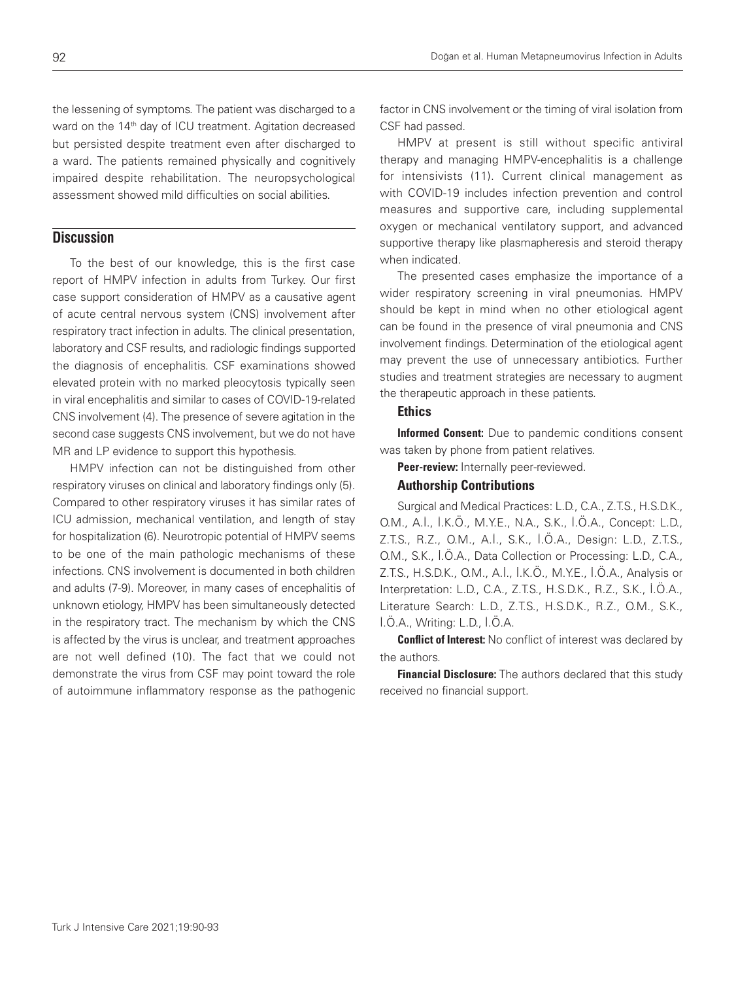the lessening of symptoms. The patient was discharged to a ward on the 14<sup>th</sup> day of ICU treatment. Agitation decreased but persisted despite treatment even after discharged to a ward. The patients remained physically and cognitively impaired despite rehabilitation. The neuropsychological assessment showed mild difficulties on social abilities.

# **Discussion**

To the best of our knowledge, this is the first case report of HMPV infection in adults from Turkey. Our first case support consideration of HMPV as a causative agent of acute central nervous system (CNS) involvement after respiratory tract infection in adults. The clinical presentation, laboratory and CSF results, and radiologic findings supported the diagnosis of encephalitis. CSF examinations showed elevated protein with no marked pleocytosis typically seen in viral encephalitis and similar to cases of COVID-19-related CNS involvement (4). The presence of severe agitation in the second case suggests CNS involvement, but we do not have MR and LP evidence to support this hypothesis.

HMPV infection can not be distinguished from other respiratory viruses on clinical and laboratory findings only (5). Compared to other respiratory viruses it has similar rates of ICU admission, mechanical ventilation, and length of stay for hospitalization (6). Neurotropic potential of HMPV seems to be one of the main pathologic mechanisms of these infections. CNS involvement is documented in both children and adults (7-9). Moreover, in many cases of encephalitis of unknown etiology, HMPV has been simultaneously detected in the respiratory tract. The mechanism by which the CNS is affected by the virus is unclear, and treatment approaches are not well defined (10). The fact that we could not demonstrate the virus from CSF may point toward the role of autoimmune inflammatory response as the pathogenic

factor in CNS involvement or the timing of viral isolation from CSF had passed.

HMPV at present is still without specific antiviral therapy and managing HMPV-encephalitis is a challenge for intensivists (11). Current clinical management as with COVID-19 includes infection prevention and control measures and supportive care, including supplemental oxygen or mechanical ventilatory support, and advanced supportive therapy like plasmapheresis and steroid therapy when indicated.

The presented cases emphasize the importance of a wider respiratory screening in viral pneumonias. HMPV should be kept in mind when no other etiological agent can be found in the presence of viral pneumonia and CNS involvement findings. Determination of the etiological agent may prevent the use of unnecessary antibiotics. Further studies and treatment strategies are necessary to augment the therapeutic approach in these patients.

### **Ethics**

Informed Consent: Due to pandemic conditions consent was taken by phone from patient relatives.

Peer-review: Internally peer-reviewed.

### Authorship Contributions

Surgical and Medical Practices: L.D., C.A., Z.T.S., H.S.D.K., O.M., A.İ., İ.K.Ö., M.Y.E., N.A., S.K., İ.Ö.A., Concept: L.D., Z.T.S., R.Z., O.M., A.İ., S.K., İ.Ö.A., Design: L.D., Z.T.S., O.M., S.K., İ.Ö.A., Data Collection or Processing: L.D., C.A., Z.T.S., H.S.D.K., O.M., A.İ., İ.K.Ö., M.Y.E., İ.Ö.A., Analysis or Interpretation: L.D., C.A., Z.T.S., H.S.D.K., R.Z., S.K., İ.Ö.A., Literature Search: L.D., Z.T.S., H.S.D.K., R.Z., O.M., S.K., İ.Ö.A., Writing: L.D., İ.Ö.A.

**Conflict of Interest:** No conflict of interest was declared by the authors.

**Financial Disclosure:** The authors declared that this study received no financial support.